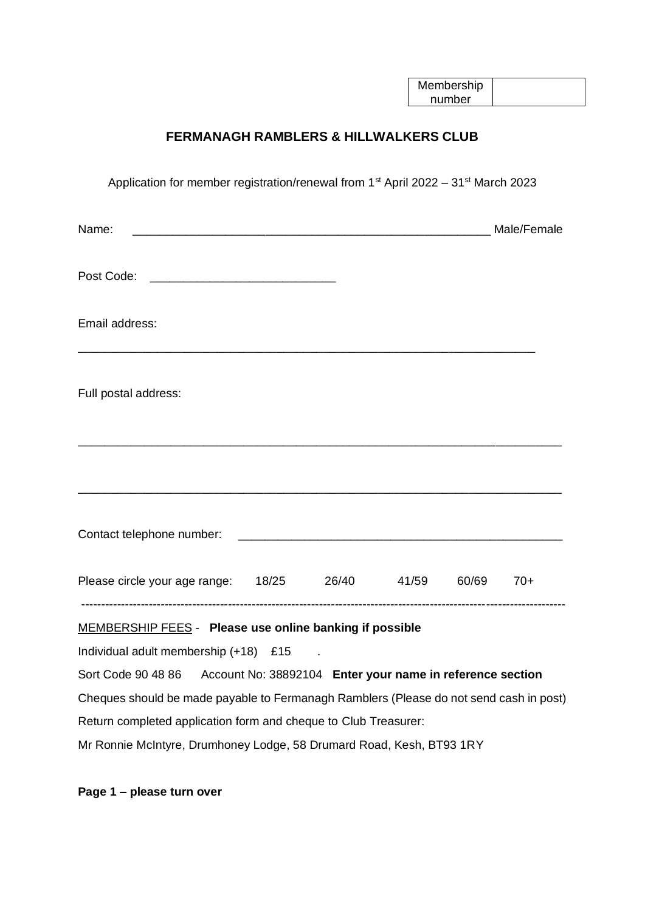| Membership |  |
|------------|--|
| number     |  |

## **FERMANAGH RAMBLERS & HILLWALKERS CLUB**

| Application for member registration/renewal from 1 <sup>st</sup> April 2022 - 31 <sup>st</sup> March 2023 |  |                                                           |  |       |       |
|-----------------------------------------------------------------------------------------------------------|--|-----------------------------------------------------------|--|-------|-------|
| Name:                                                                                                     |  |                                                           |  |       |       |
|                                                                                                           |  |                                                           |  |       |       |
| Email address:                                                                                            |  |                                                           |  |       |       |
| Full postal address:                                                                                      |  |                                                           |  |       |       |
|                                                                                                           |  |                                                           |  |       |       |
|                                                                                                           |  |                                                           |  |       |       |
| Please circle your age range: 18/25 26/40 41/59                                                           |  |                                                           |  | 60/69 | $70+$ |
| MEMBERSHIP FEES - Please use online banking if possible                                                   |  |                                                           |  |       |       |
| Individual adult membership (+18) £15                                                                     |  |                                                           |  |       |       |
| Sort Code 90 48 86                                                                                        |  | Account No: 38892104 Enter your name in reference section |  |       |       |
| Cheques should be made payable to Fermanagh Ramblers (Please do not send cash in post)                    |  |                                                           |  |       |       |
| Return completed application form and cheque to Club Treasurer:                                           |  |                                                           |  |       |       |
| Mr Ronnie McIntyre, Drumhoney Lodge, 58 Drumard Road, Kesh, BT93 1RY                                      |  |                                                           |  |       |       |

**Page 1 – please turn over**